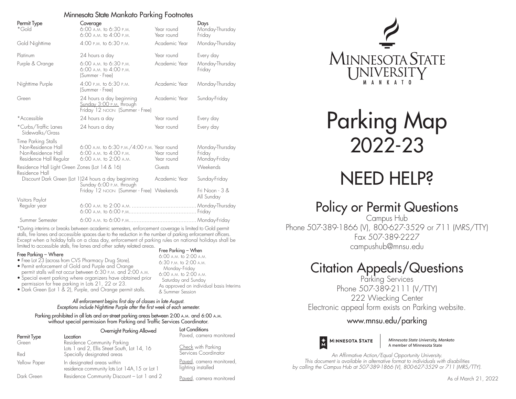### Minnesota State Mankato Parking Footnotes

| Permit Type<br>*Gold                                                                      | Coverage<br>6:00 A.M. to 6:30 P.M.<br>6:00 A.M. to 4:00 P.M.                                          | Year round<br>Year round | Days<br>Monday-Thursday<br>Friday          |
|-------------------------------------------------------------------------------------------|-------------------------------------------------------------------------------------------------------|--------------------------|--------------------------------------------|
| Gold Nighttime                                                                            | 4:00 P.M. to 6:30 P.M.                                                                                | Academic Year            | Monday-Thursday                            |
| Platinum                                                                                  | 24 hours a day                                                                                        | Year round               | Every day                                  |
| Purple & Orange                                                                           | 6:00 A.M. to 6:30 P.M.<br>$6:00$ A.M. to $4:00$ P.M.<br>(Summer - Free)                               | Academic Year            | Monday-Thursday<br>Friday                  |
| Nighttime Purple                                                                          | 4:00 P.M. to 6:30 P.M.<br>(Summer - Free)                                                             | Academic Year            | Monday-Thursday                            |
| Green                                                                                     | 24 hours a day beginning<br>Sunday 3:00 P.M. through<br>Friday 12 NOON (Summer - Free)                | Academic Year            | Sunday-Friday                              |
| *Accessible                                                                               | 24 hours a day                                                                                        | Year round               | Every day                                  |
| *Curbs/Traffic Lanes<br>Sidewalks/Grass                                                   | 24 hours a day                                                                                        | Year round               | Every day                                  |
| Time Parking Stalls<br>Non-Residence Hall<br>Non-Residence Hall<br>Residence Hall Regular | 6:00 A.M. to 6:30 P.M. / 4:00 P.M. Year round<br>$6:00$ A.M. to $4:00$ P.M.<br>6:00 A.M. to 2:00 A.M. | Year round<br>Year round | Monday-Thursday<br>Friday<br>Monday-Friday |
| Residence Hall Light Green Zones (Lot 14 & 16)<br>Guests<br>Residence Hall                |                                                                                                       |                          | Weekends                                   |
|                                                                                           | Discount Dark Green (Lot 1)24 hours a day beginning<br>Sunday 6:00 P.M. through                       | Academic Year            | Sunday-Friday                              |
|                                                                                           | Friday 12 NOON (Summer - Free) Weekends                                                               |                          | Fri Noon - 3 &<br>All Sunday               |
| Visitors Paylot<br>Regular year                                                           |                                                                                                       |                          |                                            |
| Summer Semester                                                                           |                                                                                                       |                          |                                            |

\*During interims or breaks between academic semesters, enforcement coverage is limited to Gold permit stalls, fire lanes and accessible spaces due to the reduction in the number of parking enforcement officers. Except when a holiday falls on a class day, enforcement of parking rules on national holidays shall be limited to accessible stalls, fire lanes and other safety related areas. Free Parking – When

> 6:00 a.m. to 2:00 a.m. 6:30 p.m. to 2:00 a.m. Monday-Friday 6:00 a.m. to 2:00 a.m. Saturday and Sunday

& Summer Session

As approved on individual basis Interims

#### Free Parking – Where

- Free Lot 23 (across from CVS Pharmacy Drug Store).
- Permit enforcement of Gold and Purple and Orange permit stalls will not occur between 6:30 p.m. and 2:00 a.m.
- Special event parking where organizers have obtained prior permission for free parking in Lots 21, 22 or 23.
- Dark Green (Lot 1 & 2), Purple, and Orange permit stalls.

### *All enforcement begins first day of classes in late August. Exceptions include Nighttime Purple after the first week of each semester.*

Parking prohibited in all lots and on-street parking areas between 2:00 A.M. and 6:00 A.M. without special permission from Parking and Traffic Services Coordinator.

|              | Overnight Parking Allowed                                                                                 | Lot Conditions                                |
|--------------|-----------------------------------------------------------------------------------------------------------|-----------------------------------------------|
| Permit Type  | Location                                                                                                  | Paved, camera monitored                       |
| Green<br>Red | Residence Community Parking<br>Lots 1 and 2, Ellis Street South, Lot 14, 16<br>Specially designated areas | Check with Parking<br>Services Coordinator    |
| Yellow Paper | In designated areas within<br>residence community lots Lot 14A, 15 or Lot 1                               | Paved, camera monitored<br>lighting installed |
| Dark Green   | Residence Community Discount - Lot 1 and 2                                                                | Paved, camera monitored                       |



Parking Map 2022-23

# NEED HELP?

## Policy or Permit Questions

Campus Hub Phone 507-389-1866 (V), 800-627-3529 or 711 (MRS/TTY) Fax 507-389-2227 campushub@mnsu.edu

# Citation Appeals/Questions

Parking Services Phone 507-389-2111 (V/TTY) 222 Wiecking Center

Electronic appeal form exists on Parking website.

## www.mnsu.edu/parking



Minnesota State University, Mankato A member of Minnesota State

*An Affirmative Action/Equal Opportunity University. This document is available in alternative format to individuals with disabilities by calling the Campus Hub at 507-389-1866 (V), 800-627-3529 or 711 (MRS/TTY).*